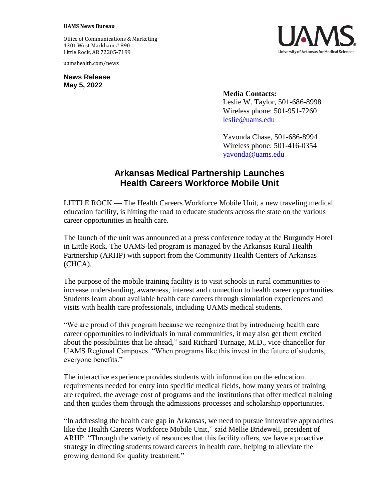## **UAMS News Bureau**

Office of Communications & Marketing 4301 West Markham # 890 Little Rock, AR 72205-7199

uamshealth.com/news

**News Release May 5, 2022**

**Media Contacts:** Leslie W. Taylor, 501-686-8998 Wireless phone: 501-951-7260 [leslie@uams.edu](mailto:leslie@uams.edu)

Yavonda Chase, 501-686-8994 Wireless phone: 501-416-0354 [yavonda@uams.edu](mailto:yavonda@uams.edu)

## **Arkansas Medical Partnership Launches Health Careers Workforce Mobile Unit**

LITTLE ROCK — The Health Careers Workforce Mobile Unit, a new traveling medical education facility, is hitting the road to educate students across the state on the various career opportunities in health care.

The launch of the unit was announced at a press conference today at the Burgundy Hotel in Little Rock. The UAMS-led program is managed by the Arkansas Rural Health Partnership (ARHP) with support from the Community Health Centers of Arkansas (CHCA).

The purpose of the mobile training facility is to visit schools in rural communities to increase understanding, awareness, interest and connection to health career opportunities. Students learn about available health care careers through simulation experiences and visits with health care professionals, including UAMS medical students.

"We are proud of this program because we recognize that by introducing health care career opportunities to individuals in rural communities, it may also get them excited about the possibilities that lie ahead," said Richard Turnage, M.D., vice chancellor for UAMS Regional Campuses. "When programs like this invest in the future of students, everyone benefits."

The interactive experience provides students with information on the education requirements needed for entry into specific medical fields, how many years of training are required, the average cost of programs and the institutions that offer medical training and then guides them through the admissions processes and scholarship opportunities.

"In addressing the health care gap in Arkansas, we need to pursue innovative approaches like the Health Careers Workforce Mobile Unit," said Mellie Bridewell, president of ARHP. "Through the variety of resources that this facility offers, we have a proactive strategy in directing students toward careers in health care, helping to alleviate the growing demand for quality treatment."

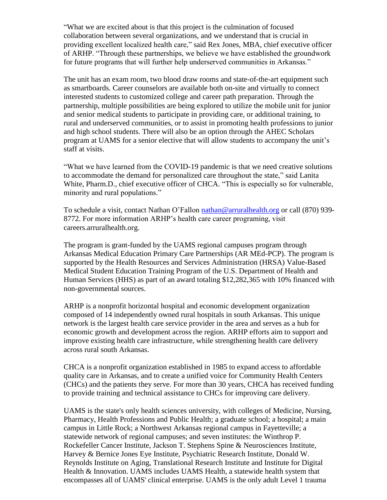"What we are excited about is that this project is the culmination of focused collaboration between several organizations, and we understand that is crucial in providing excellent localized health care," said Rex Jones, MBA, chief executive officer of ARHP. "Through these partnerships, we believe we have established the groundwork for future programs that will further help underserved communities in Arkansas."

The unit has an exam room, two blood draw rooms and state-of-the-art equipment such as smartboards. Career counselors are available both on-site and virtually to connect interested students to customized college and career path preparation. Through the partnership, multiple possibilities are being explored to utilize the mobile unit for junior and senior medical students to participate in providing care, or additional training, to rural and underserved communities, or to assist in promoting health professions to junior and high school students. There will also be an option through the AHEC Scholars program at UAMS for a senior elective that will allow students to accompany the unit's staff at visits.

"What we have learned from the COVID-19 pandemic is that we need creative solutions to accommodate the demand for personalized care throughout the state," said Lanita White, Pharm.D., chief executive officer of CHCA. "This is especially so for vulnerable, minority and rural populations."

To schedule a visit, contact Nathan O'Fallon [nathan@arruralhealth.org](mailto:nathan@arruralhealth.org) or call (870) 939- 8772. For more information ARHP's health care career programing, visit careers.arruralhealth.org.

The program is grant-funded by the UAMS regional campuses program through Arkansas Medical Education Primary Care Partnerships (AR MEd-PCP). The program is supported by the Health Resources and Services Administration (HRSA) Value-Based Medical Student Education Training Program of the U.S. Department of Health and Human Services (HHS) as part of an award totaling \$12,282,365 with 10% financed with non-governmental sources.

ARHP is a nonprofit horizontal hospital and economic development organization composed of 14 independently owned rural hospitals in south Arkansas. This unique network is the largest health care service provider in the area and serves as a hub for economic growth and development across the region. ARHP efforts aim to support and improve existing health care infrastructure, while strengthening health care delivery across rural south Arkansas.

CHCA is a nonprofit organization established in 1985 to expand access to affordable quality care in Arkansas, and to create a unified voice for Community Health Centers (CHCs) and the patients they serve. For more than 30 years, CHCA has received funding to provide training and technical assistance to CHCs for improving care delivery.

UAMS is the state's only health sciences university, with colleges of Medicine, Nursing, Pharmacy, Health Professions and Public Health; a graduate school; a hospital; a main campus in Little Rock; a Northwest Arkansas regional campus in Fayetteville; a statewide network of regional campuses; and seven institutes: the Winthrop P. Rockefeller Cancer Institute, Jackson T. Stephens Spine & Neurosciences Institute, Harvey & Bernice Jones Eye Institute, Psychiatric Research Institute, Donald W. Reynolds Institute on Aging, Translational Research Institute and Institute for Digital Health & Innovation. UAMS includes UAMS Health, a statewide health system that encompasses all of UAMS' clinical enterprise. UAMS is the only adult Level 1 trauma